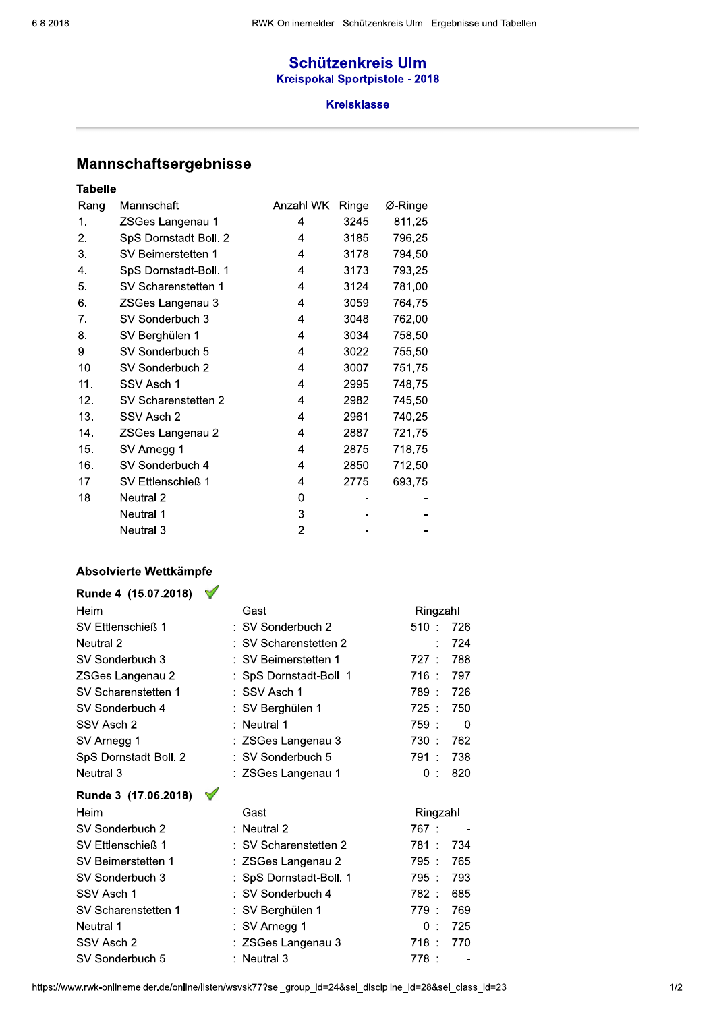## **Schützenkreis Ulm Kreispokal Sportpistole - 2018**

### **Kreisklasse**

# Mannschaftsergebnisse

## **Tabelle**

| Rang | Mannschaft            | Anzahl WK | Ringe | Ø-Ringe |
|------|-----------------------|-----------|-------|---------|
| 1.   | ZSGes Langenau 1      | 4         | 3245  | 811,25  |
| 2.   | SpS Dornstadt-Boll. 2 | 4         | 3185  | 796,25  |
| 3.   | SV Beimerstetten 1    | 4         | 3178  | 794,50  |
| 4.   | SpS Dornstadt-Boll. 1 | 4         | 3173  | 793,25  |
| 5.   | SV Scharenstetten 1   | 4         | 3124  | 781,00  |
| 6.   | ZSGes Langenau 3      | 4         | 3059  | 764,75  |
| 7.   | SV Sonderbuch 3       | 4         | 3048  | 762,00  |
| 8.   | SV Berghülen 1        | 4         | 3034  | 758,50  |
| 9.   | SV Sonderbuch 5       | 4         | 3022  | 755,50  |
| 10.  | SV Sonderbuch 2       | 4         | 3007  | 751,75  |
| 11.  | SSV Asch 1            | 4         | 2995  | 748,75  |
| 12.  | SV Scharenstetten 2   | 4         | 2982  | 745,50  |
| 13.  | SSV Asch 2            | 4         | 2961  | 740,25  |
| 14.  | ZSGes Langenau 2      | 4         | 2887  | 721,75  |
| 15.  | SV Arnegg 1           | 4         | 2875  | 718,75  |
| 16.  | SV Sonderbuch 4       | 4         | 2850  | 712,50  |
| 17.  | SV Ettlenschieß 1     | 4         | 2775  | 693,75  |
| 18.  | Neutral 2             | 0         |       |         |
|      | Neutral 1             | 3         |       |         |
|      | Neutral 3             | 2         |       |         |

#### Absolvierte Wettkämpfe

| Runde 4 (15.07.2018)  | ₩ |                         |                |
|-----------------------|---|-------------------------|----------------|
| Heim                  |   | Gast                    | Ringzahl       |
| SV Ettlenschieß 1     |   | : SV Sonderbuch 2       | 510:<br>726    |
| Neutral 2             |   | : SV Scharenstetten 2   | 724<br>$-1$    |
| SV Sonderbuch 3       |   | : SV Beimerstetten 1    | 788<br>727 :   |
| ZSGes Langenau 2      |   | : SpS Dornstadt-Boll. 1 | 716 :<br>797   |
| SV Scharenstetten 1   |   | : SSV Asch 1            | 726<br>789 :   |
| SV Sonderbuch 4       |   | : SV Berghülen 1        | $725$ :<br>750 |
| SSV Asch 2            |   | : Neutral 1             | 759:<br>0      |
| SV Arnegg 1           |   | : ZSGes Langenau 3      | 730:<br>762    |
| SpS Dornstadt-Boll. 2 |   | SV Sonderbuch 5         | 738<br>791 :   |
| Neutral 3             |   | : ZSGes Langenau 1      | 0:<br>820      |
| Runde 3 (17.06.2018)  | V |                         |                |
| Heim                  |   | Gast                    | Ringzahl       |
| SV Sonderbuch 2       |   | : Neutral 2             | 767 :          |
| SV Ettlenschieß 1     |   | : SV Scharenstetten 2   | 734<br>781 :   |
| SV Beimerstetten 1    |   | : ZSGes Langenau 2      | 795:<br>765    |
| SV Sonderbuch 3       |   | : SpS Dornstadt-Boll. 1 | 795 :<br>793   |
| SSV Asch 1            |   | : SV Sonderbuch 4       | 782:<br>685    |
| SV Scharenstetten 1   |   | : SV Berghülen 1        | 779:<br>769    |
| Neutral 1             |   | : SV Arnegg 1           | 725<br>0 :     |
| SSV Asch 2            |   | : ZSGes Langenau 3      | 718 :<br>770   |
| SV Sonderbuch 5       |   | Neutral 3               | 778 :          |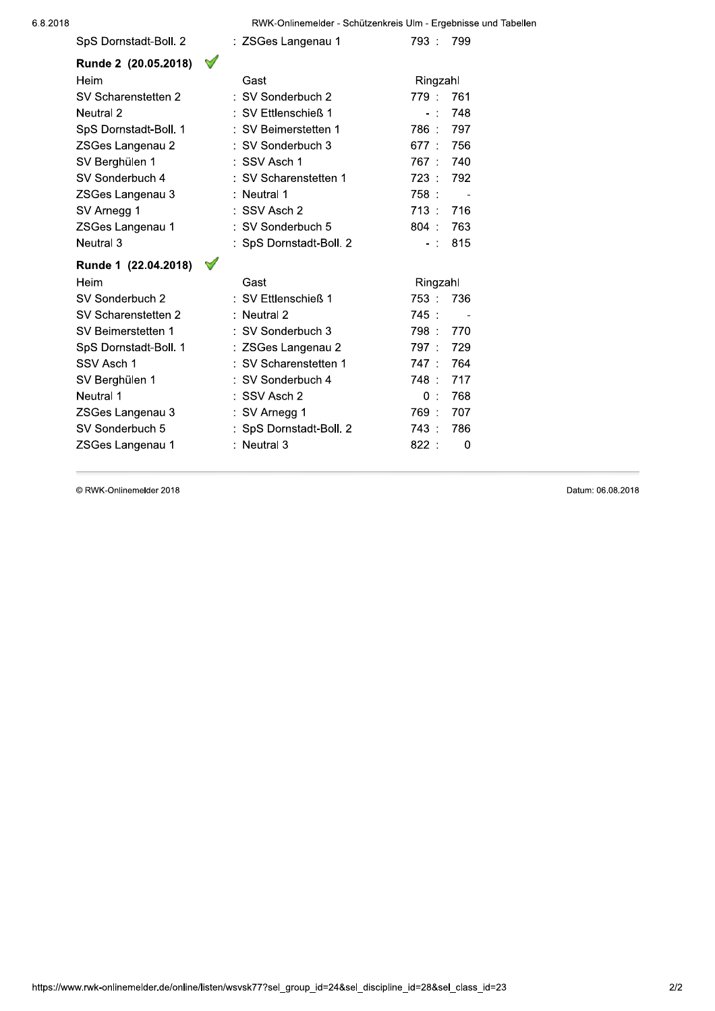RWK-Onlinemelder - Schützenkreis Ulm - Ergebnisse und Tabellen

| SpS Dornstadt-Boll. 2                 | : ZSGes Langenau 1      | 793.<br>799                      |
|---------------------------------------|-------------------------|----------------------------------|
| $\mathscr{A}$<br>Runde 2 (20.05.2018) |                         |                                  |
| Heim                                  | Gast                    | Ringzahl                         |
| SV Scharenstetten 2                   | : SV Sonderbuch 2       | 779 :<br>761                     |
| Neutral 2                             | : SV Ettlenschieß 1     | 748<br>$\sim$<br>$\blacksquare$  |
| SpS Dornstadt-Boll. 1                 | : SV Beimerstetten 1    | 797<br>786 :                     |
| ZSGes Langenau 2                      | : SV Sonderbuch 3       | 677:<br>756                      |
| SV Berghülen 1                        | : SSV Asch 1            | 767 :<br>740                     |
| SV Sonderbuch 4                       | : SV Scharenstetten 1   | 723.<br>792                      |
| ZSGes Langenau 3                      | : Neutral 1             | 758:                             |
| SV Arnegg 1                           | : SSV Asch 2            | 713: 716                         |
| ZSGes Langenau 1                      | : SV Sonderbuch 5       | $804$ :<br>763                   |
| Neutral 3                             | : SpS Dornstadt-Boll. 2 | 815<br>$-1$                      |
|                                       |                         |                                  |
| Runde 1 (22.04.2018)                  |                         |                                  |
| Heim                                  | Gast                    | Ringzahl                         |
| SV Sonderbuch 2                       | : SV Ettlenschieß 1     | 753:<br>736                      |
| SV Scharenstetten 2                   | $:$ Neutral 2           | 745:<br>$\overline{\phantom{a}}$ |
| SV Beimerstetten 1                    | : SV Sonderbuch 3       | 798.<br>- 770                    |
| SpS Dornstadt-Boll. 1                 | : ZSGes Langenau 2      | 729<br>797 :                     |
| SSV Asch 1                            | : SV Scharenstetten 1   | 764<br>747:                      |
| SV Berghülen 1                        | : SV Sonderbuch 4       | 748:<br>717                      |
| Neutral 1                             | : SSV Asch 2            | 768<br>0:                        |
| ZSGes Langenau 3                      | : SV Arnegg 1           | 769:<br>707                      |
| SV Sonderbuch 5                       | : SpS Dornstadt-Boll. 2 | 743:<br>786                      |

© RWK-Onlinemelder 2018

Datum: 06.08.2018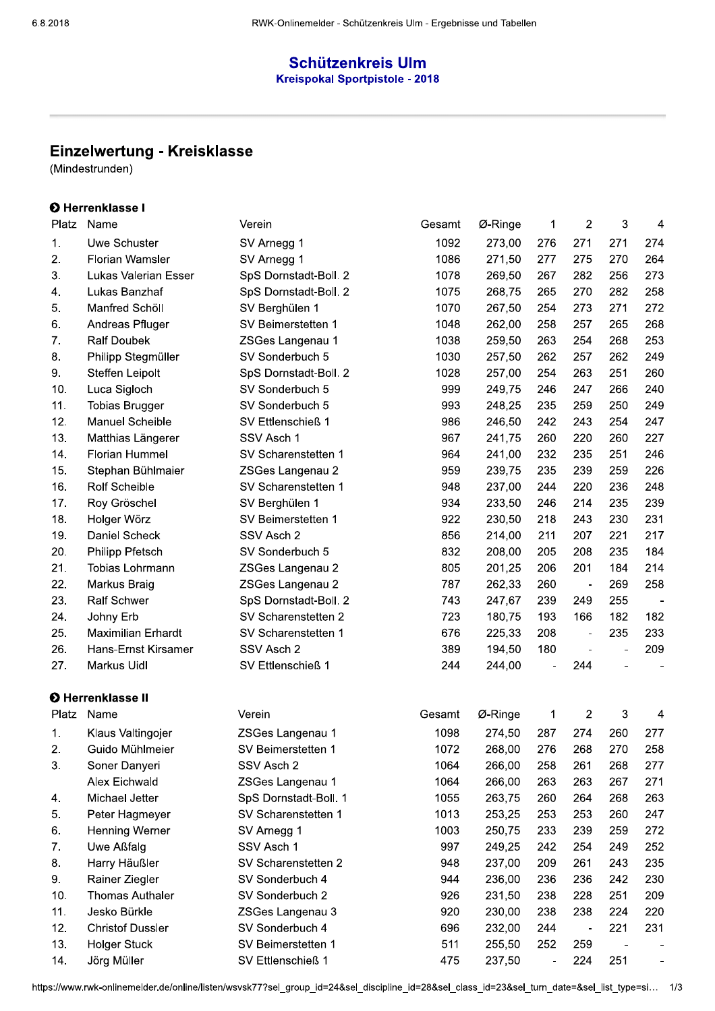## **Schützenkreis Ulm Kreispokal Sportpistole - 2018**

# Einzelwertung - Kreisklasse

(Mindestrunden)

## **O** Herrenklasse I

| Platz | Name                        | Verein                | Gesamt | Ø-Ringe | 1                            | $\overline{2}$ | 3   | 4   |
|-------|-----------------------------|-----------------------|--------|---------|------------------------------|----------------|-----|-----|
| 1.    | Uwe Schuster                | SV Arnegg 1           | 1092   | 273,00  | 276                          | 271            | 271 | 274 |
| 2.    | <b>Florian Wamsler</b>      | SV Arnegg 1           | 1086   | 271,50  | 277                          | 275            | 270 | 264 |
| 3.    | <b>Lukas Valerian Esser</b> | SpS Dornstadt-Boll. 2 | 1078   | 269,50  | 267                          | 282            | 256 | 273 |
| 4.    | Lukas Banzhaf               | SpS Dornstadt-Boll. 2 | 1075   | 268,75  | 265                          | 270            | 282 | 258 |
| 5.    | Manfred Schöll              | SV Berghülen 1        | 1070   | 267,50  | 254                          | 273            | 271 | 272 |
| 6.    | Andreas Pfluger             | SV Beimerstetten 1    | 1048   | 262,00  | 258                          | 257            | 265 | 268 |
| 7.    | <b>Ralf Doubek</b>          | ZSGes Langenau 1      | 1038   | 259,50  | 263                          | 254            | 268 | 253 |
| 8.    | Philipp Stegmüller          | SV Sonderbuch 5       | 1030   | 257,50  | 262                          | 257            | 262 | 249 |
| 9.    | Steffen Leipolt             | SpS Dornstadt-Boll. 2 | 1028   | 257,00  | 254                          | 263            | 251 | 260 |
| 10.   | Luca Sigloch                | SV Sonderbuch 5       | 999    | 249,75  | 246                          | 247            | 266 | 240 |
| 11.   | <b>Tobias Brugger</b>       | SV Sonderbuch 5       | 993    | 248,25  | 235                          | 259            | 250 | 249 |
| 12.   | Manuel Scheible             | SV Ettlenschieß 1     | 986    | 246,50  | 242                          | 243            | 254 | 247 |
| 13.   | Matthias Längerer           | SSV Asch 1            | 967    | 241,75  | 260                          | 220            | 260 | 227 |
| 14.   | Florian Hummel              | SV Scharenstetten 1   | 964    | 241,00  | 232                          | 235            | 251 | 246 |
| 15.   | Stephan Bühlmaier           | ZSGes Langenau 2      | 959    | 239,75  | 235                          | 239            | 259 | 226 |
| 16.   | <b>Rolf Scheible</b>        | SV Scharenstetten 1   | 948    | 237,00  | 244                          | 220            | 236 | 248 |
| 17.   | Roy Gröschel                | SV Berghülen 1        | 934    | 233,50  | 246                          | 214            | 235 | 239 |
| 18.   | Holger Wörz                 | SV Beimerstetten 1    | 922    | 230,50  | 218                          | 243            | 230 | 231 |
| 19.   | Daniel Scheck               | SSV Asch 2            | 856    | 214,00  | 211                          | 207            | 221 | 217 |
| 20.   | Philipp Pfetsch             | SV Sonderbuch 5       | 832    | 208,00  | 205                          | 208            | 235 | 184 |
| 21.   | Tobias Lohrmann             | ZSGes Langenau 2      | 805    | 201,25  | 206                          | 201            | 184 | 214 |
| 22.   | Markus Braig                | ZSGes Langenau 2      | 787    | 262,33  | 260                          | $\blacksquare$ | 269 | 258 |
| 23.   | <b>Ralf Schwer</b>          | SpS Dornstadt-Boll. 2 | 743    | 247,67  | 239                          | 249            | 255 |     |
| 24.   | Johny Erb                   | SV Scharenstetten 2   | 723    | 180,75  | 193                          | 166            | 182 | 182 |
| 25.   | <b>Maximilian Erhardt</b>   | SV Scharenstetten 1   | 676    | 225,33  | 208                          | $\blacksquare$ | 235 | 233 |
| 26.   | Hans-Ernst Kirsamer         | SSV Asch 2            | 389    | 194,50  | 180                          |                |     | 209 |
| 27.   | Markus Uidl                 | SV Ettlenschieß 1     | 244    | 244,00  |                              | 244            |     |     |
|       | <b>O</b> Herrenklasse II    |                       |        |         |                              |                |     |     |
| Platz | Name                        | Verein                | Gesamt | Ø-Ringe | 1                            | 2              | 3   | 4   |
| 1.    | Klaus Valtingojer           | ZSGes Langenau 1      | 1098   | 274,50  | 287                          | 274            | 260 | 277 |
| 2.    | Guido Mühlmeier             | SV Beimerstetten 1    | 1072   | 268,00  | 276                          | 268            | 270 | 258 |
| 3.    | Soner Danyeri               | SSV Asch 2            | 1064   | 266,00  | 258                          | 261            | 268 | 277 |
|       | <b>Alex Eichwald</b>        | ZSGes Langenau 1      | 1064   | 266,00  | 263                          | 263            | 267 | 271 |
| 4.    | Michael Jetter              | SpS Dornstadt-Boll. 1 | 1055   | 263,75  | 260                          | 264            | 268 | 263 |
| 5.    | Peter Hagmeyer              | SV Scharenstetten 1   | 1013   | 253,25  | 253                          | 253            | 260 | 247 |
| 6.    | Henning Werner              | SV Arnegg 1           | 1003   | 250,75  | 233                          | 239            | 259 | 272 |
| 7.    | Uwe Aßfalg                  | SSV Asch 1            | 997    | 249,25  | 242                          | 254            | 249 | 252 |
| 8.    | Harry Häußler               | SV Scharenstetten 2   | 948    | 237,00  | 209                          | 261            | 243 | 235 |
| 9.    | Rainer Ziegler              | SV Sonderbuch 4       | 944    | 236,00  | 236                          | 236            | 242 | 230 |
| 10.   | <b>Thomas Authaler</b>      | SV Sonderbuch 2       | 926    | 231,50  | 238                          | 228            | 251 | 209 |
| 11.   | Jesko Bürkle                | ZSGes Langenau 3      | 920    | 230,00  | 238                          | 238            | 224 | 220 |
| 12.   | <b>Christof Dussler</b>     | SV Sonderbuch 4       | 696    | 232,00  | 244                          |                | 221 | 231 |
| 13.   | <b>Holger Stuck</b>         | SV Beimerstetten 1    | 511    | 255,50  | 252                          | 259            |     |     |
| 14.   | Jörg Müller                 | SV Ettlenschieß 1     | 475    | 237,50  | $\qquad \qquad \blacksquare$ | 224            | 251 |     |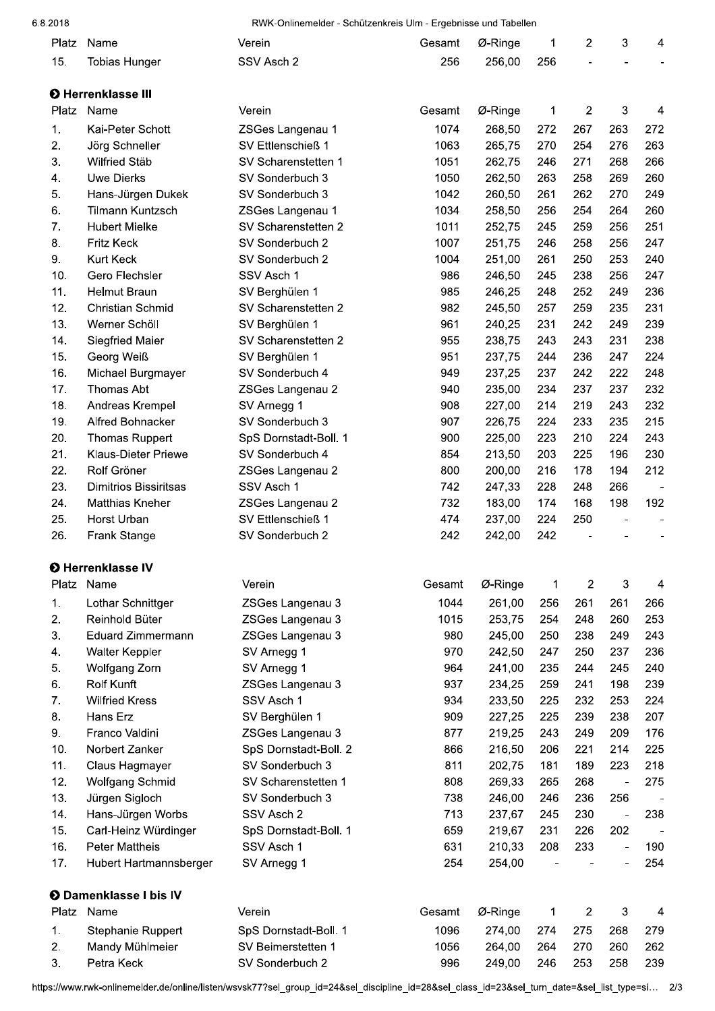#### 6.8.2018

RWK-Onlinemelder - Schützenkreis Ulm - Ergebnisse und Tabellen

|            |                               |                                      | $55.1845$ , $1.1056$ $5.111$ |            |     |                |                              |                |
|------------|-------------------------------|--------------------------------------|------------------------------|------------|-----|----------------|------------------------------|----------------|
| Platz      | Name                          | Verein                               | Gesamt                       | Ø-Ringe    | 1   | $\overline{c}$ | $\mathbf{3}$                 | 4              |
| 15.        | <b>Tobias Hunger</b>          | SSV Asch 2                           | 256                          | 256,00     | 256 |                |                              |                |
|            |                               |                                      |                              |            |     |                |                              |                |
|            | <b>O</b> Herrenklasse III     |                                      |                              |            |     |                |                              |                |
| Platz      | Name                          | Verein                               | Gesamt                       | Ø-Ringe    | 1   | $\overline{2}$ | $\mathbf{3}$                 | $\overline{4}$ |
| 1.         | Kai-Peter Schott              | ZSGes Langenau 1                     | 1074                         | 268,50     | 272 | 267            | 263                          | 272            |
| 2.         | Jörg Schneller                | SV Ettlenschieß 1                    | 1063                         | 265,75     | 270 | 254            | 276                          | 263            |
| 3.         | Wilfried Stäb                 | SV Scharenstetten 1                  | 1051                         | 262,75     | 246 | 271            | 268                          | 266            |
| 4.         | <b>Uwe Dierks</b>             | SV Sonderbuch 3                      | 1050                         | 262,50     | 263 | 258            | 269                          | 260            |
| 5.         | Hans-Jürgen Dukek             | SV Sonderbuch 3                      | 1042                         | 260,50     | 261 | 262            | 270                          | 249            |
| 6.         | <b>Tilmann Kuntzsch</b>       | ZSGes Langenau 1                     | 1034                         | 258,50     | 256 | 254            | 264                          | 260            |
| 7.         | <b>Hubert Mielke</b>          | SV Scharenstetten 2                  | 1011                         | 252,75     | 245 | 259            | 256                          | 251            |
| 8.         | <b>Fritz Keck</b>             | SV Sonderbuch 2                      | 1007                         | 251,75     | 246 | 258            | 256                          | 247            |
| 9.         | Kurt Keck                     | SV Sonderbuch 2                      | 1004                         | 251,00     | 261 | 250            | 253                          | 240            |
| 10.        | Gero Flechsler                | SSV Asch 1                           | 986                          | 246,50     | 245 | 238            | 256                          | 247            |
| 11.        | Helmut Braun                  | SV Berghülen 1                       | 985                          | 246,25     | 248 | 252            | 249                          | 236            |
| 12.        | Christian Schmid              | SV Scharenstetten 2                  | 982                          | 245,50     | 257 | 259            | 235                          | 231            |
| 13.        | Werner Schöll                 | SV Berghülen 1                       | 961                          | 240,25     | 231 | 242            | 249                          | 239            |
| 14.        | Siegfried Maier               | SV Scharenstetten 2                  | 955                          | 238,75     | 243 | 243            | 231                          | 238            |
| 15.        | Georg Weiß                    | SV Berghülen 1                       | 951                          | 237,75     | 244 | 236            | 247                          | 224            |
| 16.        | Michael Burgmayer             | SV Sonderbuch 4                      | 949                          | 237,25     | 237 | 242            | 222                          | 248            |
| 17.        | Thomas Abt                    | ZSGes Langenau 2                     | 940                          | 235,00     | 234 | 237            | 237                          | 232            |
| 18.        | Andreas Krempel               | SV Arnegg 1                          | 908                          | 227,00     | 214 | 219            | 243                          | 232            |
| 19.        | Alfred Bohnacker              | SV Sonderbuch 3                      | 907                          | 226,75     | 224 | 233            | 235                          | 215            |
| 20.        | <b>Thomas Ruppert</b>         | SpS Dornstadt-Boll. 1                | 900                          | 225,00     | 223 | 210            | 224                          | 243            |
| 21.        | <b>Klaus-Dieter Priewe</b>    | SV Sonderbuch 4                      | 854                          | 213,50     | 203 | 225            | 196                          | 230            |
| 22.        | Rolf Gröner                   | ZSGes Langenau 2                     | 800                          | 200,00     | 216 | 178            | 194                          | 212            |
| 23.        | <b>Dimitrios Bissiritsas</b>  | SSV Asch 1                           | 742                          | 247,33     | 228 | 248            | 266                          |                |
| 24.        | <b>Matthias Kneher</b>        | ZSGes Langenau 2                     | 732                          | 183,00     | 174 | 168            | 198                          | 192            |
| 25.<br>26. | Horst Urban                   | SV Ettlenschieß 1<br>SV Sonderbuch 2 | 474                          | 237,00     | 224 | 250            |                              |                |
|            | Frank Stange                  |                                      | 242                          | 242,00     | 242 |                |                              |                |
|            | <b>O</b> Herrenklasse IV      |                                      |                              |            |     |                |                              |                |
|            | Platz Name                    | Verein                               | Gesamt                       | $Ø$ -Ringe | 1   | $\overline{2}$ | 3                            | 4              |
| 1.         | Lothar Schnittger             | ZSGes Langenau 3                     | 1044                         | 261,00     | 256 | 261            | 261                          | 266            |
| 2.         | Reinhold Büter                | ZSGes Langenau 3                     | 1015                         | 253,75     | 254 | 248            | 260                          | 253            |
| 3.         | <b>Eduard Zimmermann</b>      | ZSGes Langenau 3                     | 980                          | 245,00     | 250 | 238            | 249                          | 243            |
| 4.         | Walter Keppler                | SV Arnegg 1                          | 970                          | 242,50     | 247 | 250            | 237                          | 236            |
| 5.         | Wolfgang Zorn                 | SV Arnegg 1                          | 964                          | 241,00     | 235 | 244            | 245                          | 240            |
| 6.         | Rolf Kunft                    | ZSGes Langenau 3                     | 937                          | 234,25     | 259 | 241            | 198                          | 239            |
| 7.         | <b>Wilfried Kress</b>         | SSV Asch 1                           | 934                          | 233,50     | 225 | 232            | 253                          | 224            |
| 8.         | Hans Erz                      | SV Berghülen 1                       | 909                          | 227,25     | 225 | 239            | 238                          | 207            |
| 9.         | Franco Valdini                | ZSGes Langenau 3                     | 877                          | 219,25     | 243 | 249            | 209                          | 176            |
| 10.        | Norbert Zanker                | SpS Dornstadt-Boll. 2                | 866                          | 216,50     | 206 | 221            | 214                          | 225            |
| 11.        | Claus Hagmayer                | SV Sonderbuch 3                      | 811                          | 202,75     | 181 | 189            | 223                          | 218            |
| 12.        | Wolfgang Schmid               | SV Scharenstetten 1                  | 808                          | 269,33     | 265 | 268            | $\qquad \qquad \blacksquare$ | 275            |
| 13.        | Jürgen Sigloch                | SV Sonderbuch 3                      | 738                          | 246,00     | 246 | 236            | 256                          |                |
| 14.        | Hans-Jürgen Worbs             | SSV Asch 2                           | 713                          | 237,67     | 245 | 230            |                              | 238            |
| 15.        | Carl-Heinz Würdinger          | SpS Dornstadt-Boll. 1                | 659                          | 219,67     | 231 | 226            | 202                          |                |
| 16.        | <b>Peter Mattheis</b>         | SSV Asch 1                           | 631                          | 210,33     | 208 | 233            | $\overline{a}$               | 190            |
| 17.        | Hubert Hartmannsberger        | SV Arnegg 1                          | 254                          | 254,00     |     |                |                              | 254            |
|            |                               |                                      |                              |            |     |                |                              |                |
|            | <b>O</b> Damenklasse I bis IV |                                      |                              |            |     |                |                              |                |
| Platz      | Name                          | Verein                               | Gesamt                       | Ø-Ringe    | 1   | $\overline{2}$ | $\sqrt{3}$                   | 4              |
| 1.         | Stephanie Ruppert             | SpS Dornstadt-Boll. 1                | 1096                         | 274,00     | 274 | 275            | 268                          | 279            |
| 2.         | Mandy Mühlmeier               | SV Beimerstetten 1                   | 1056                         | 264,00     | 264 | 270            | 260                          | 262            |
| 3.         | Petra Keck                    | SV Sonderbuch 2                      | 996                          | 249,00     | 246 | 253            | 258                          | 239            |

https://www.rwk-onlinemelder.de/online/listen/wsvsk77?sel\_group\_id=24&sel\_discipline\_id=28&sel\_class\_id=23&sel\_turn\_date=&sel\_list\_type=si... 2/3